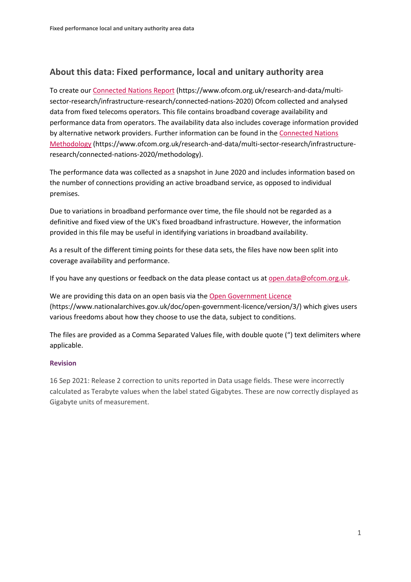## **About this data: Fixed performance, local and unitary authority area**

To create ou[r Connected Nations Report](https://www.ofcom.org.uk/research-and-data/multi-sector-research/infrastructure-research/connected-nations-2020) (https://www.ofcom.org.uk/research-and-data/multisector-research/infrastructure-research/connected-nations-2020) Ofcom collected and analysed data from fixed telecoms operators. This file contains broadband coverage availability and performance data from operators. The availability data also includes coverage information provided by alternative network providers. Further information can be found in the [Connected Nations](https://www.ofcom.org.uk/research-and-data/multi-sector-research/infrastructure-research/connected-nations-2020/methodology)  [Methodology](https://www.ofcom.org.uk/research-and-data/multi-sector-research/infrastructure-research/connected-nations-2020/methodology) (https://www.ofcom.org.uk/research-and-data/multi-sector-research/infrastructureresearch/connected-nations-2020/methodology).

The performance data was collected as a snapshot in June 2020 and includes information based on the number of connections providing an active broadband service, as opposed to individual premises.

Due to variations in broadband performance over time, the file should not be regarded as a definitive and fixed view of the UK's fixed broadband infrastructure. However, the information provided in this file may be useful in identifying variations in broadband availability.

As a result of the different timing points for these data sets, the files have now been split into coverage availability and performance.

If you have any questions or feedback on the data please contact us at [open.data@ofcom.org.uk.](mailto:open.data@ofcom.org.uk)

We are providing this data on an open basis via the [Open Government Licence](https://www.nationalarchives.gov.uk/doc/open-government-licence/version/3/) (https://www.nationalarchives.gov.uk/doc/open-government-licence/version/3/) which gives users various freedoms about how they choose to use the data, subject to conditions.

The files are provided as a Comma Separated Values file, with double quote (") text delimiters where applicable.

## **Revision**

16 Sep 2021: Release 2 correction to units reported in Data usage fields. These were incorrectly calculated as Terabyte values when the label stated Gigabytes. These are now correctly displayed as Gigabyte units of measurement.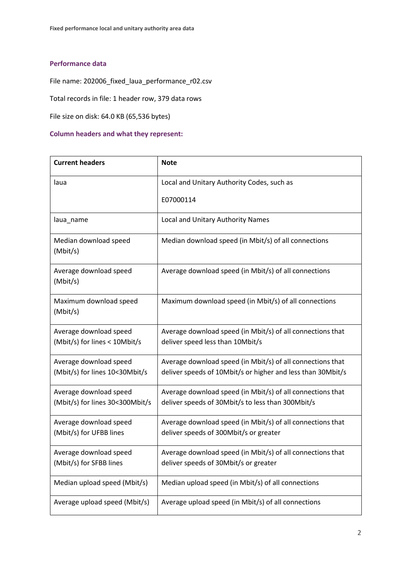## **Performance data**

File name: 202006\_fixed\_laua\_performance\_r02.csv

Total records in file: 1 header row, 379 data rows

File size on disk: 64.0 KB (65,536 bytes)

## **Column headers and what they represent:**

| <b>Current headers</b>                                    | <b>Note</b>                                                                                                               |
|-----------------------------------------------------------|---------------------------------------------------------------------------------------------------------------------------|
| laua                                                      | Local and Unitary Authority Codes, such as                                                                                |
|                                                           | E07000114                                                                                                                 |
| laua_name                                                 | Local and Unitary Authority Names                                                                                         |
| Median download speed<br>(Mbit/s)                         | Median download speed (in Mbit/s) of all connections                                                                      |
| Average download speed<br>(Mbit/s)                        | Average download speed (in Mbit/s) of all connections                                                                     |
| Maximum download speed<br>(Mbit/s)                        | Maximum download speed (in Mbit/s) of all connections                                                                     |
| Average download speed<br>(Mbit/s) for lines < 10Mbit/s   | Average download speed (in Mbit/s) of all connections that<br>deliver speed less than 10Mbit/s                            |
| Average download speed<br>(Mbit/s) for lines 10<30Mbit/s  | Average download speed (in Mbit/s) of all connections that<br>deliver speeds of 10Mbit/s or higher and less than 30Mbit/s |
| Average download speed<br>(Mbit/s) for lines 30<300Mbit/s | Average download speed (in Mbit/s) of all connections that<br>deliver speeds of 30Mbit/s to less than 300Mbit/s           |
| Average download speed<br>(Mbit/s) for UFBB lines         | Average download speed (in Mbit/s) of all connections that<br>deliver speeds of 300Mbit/s or greater                      |
| Average download speed<br>(Mbit/s) for SFBB lines         | Average download speed (in Mbit/s) of all connections that<br>deliver speeds of 30Mbit/s or greater                       |
| Median upload speed (Mbit/s)                              | Median upload speed (in Mbit/s) of all connections                                                                        |
| Average upload speed (Mbit/s)                             | Average upload speed (in Mbit/s) of all connections                                                                       |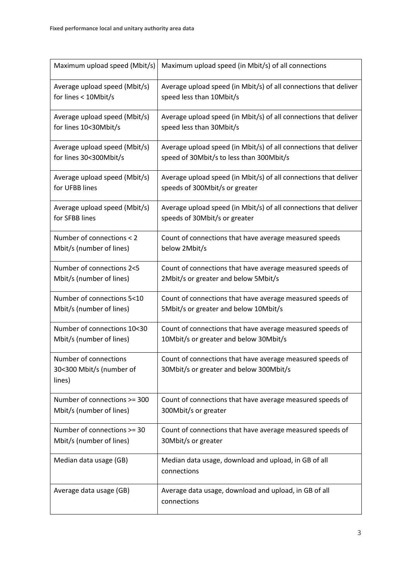| Maximum upload speed (Mbit/s)                               | Maximum upload speed (in Mbit/s) of all connections                                                  |
|-------------------------------------------------------------|------------------------------------------------------------------------------------------------------|
| Average upload speed (Mbit/s)                               | Average upload speed (in Mbit/s) of all connections that deliver                                     |
| for lines < 10Mbit/s                                        | speed less than 10Mbit/s                                                                             |
| Average upload speed (Mbit/s)                               | Average upload speed (in Mbit/s) of all connections that deliver                                     |
| for lines 10<30Mbit/s                                       | speed less than 30Mbit/s                                                                             |
| Average upload speed (Mbit/s)                               | Average upload speed (in Mbit/s) of all connections that deliver                                     |
| for lines 30<300Mbit/s                                      | speed of 30Mbit/s to less than 300Mbit/s                                                             |
| Average upload speed (Mbit/s)                               | Average upload speed (in Mbit/s) of all connections that deliver                                     |
| for UFBB lines                                              | speeds of 300Mbit/s or greater                                                                       |
| Average upload speed (Mbit/s)                               | Average upload speed (in Mbit/s) of all connections that deliver                                     |
| for SFBB lines                                              | speeds of 30Mbit/s or greater                                                                        |
| Number of connections < 2                                   | Count of connections that have average measured speeds                                               |
| Mbit/s (number of lines)                                    | below 2Mbit/s                                                                                        |
| Number of connections 2<5                                   | Count of connections that have average measured speeds of                                            |
| Mbit/s (number of lines)                                    | 2Mbit/s or greater and below 5Mbit/s                                                                 |
| Number of connections 5<10                                  | Count of connections that have average measured speeds of                                            |
| Mbit/s (number of lines)                                    | 5Mbit/s or greater and below 10Mbit/s                                                                |
| Number of connections 10<30                                 | Count of connections that have average measured speeds of                                            |
| Mbit/s (number of lines)                                    | 10Mbit/s or greater and below 30Mbit/s                                                               |
| Number of connections<br>30<300 Mbit/s (number of<br>lines) | Count of connections that have average measured speeds of<br>30Mbit/s or greater and below 300Mbit/s |
| Number of connections >= 300                                | Count of connections that have average measured speeds of                                            |
| Mbit/s (number of lines)                                    | 300Mbit/s or greater                                                                                 |
| Number of connections >= 30                                 | Count of connections that have average measured speeds of                                            |
| Mbit/s (number of lines)                                    | 30Mbit/s or greater                                                                                  |
| Median data usage (GB)                                      | Median data usage, download and upload, in GB of all<br>connections                                  |
| Average data usage (GB)                                     | Average data usage, download and upload, in GB of all<br>connections                                 |